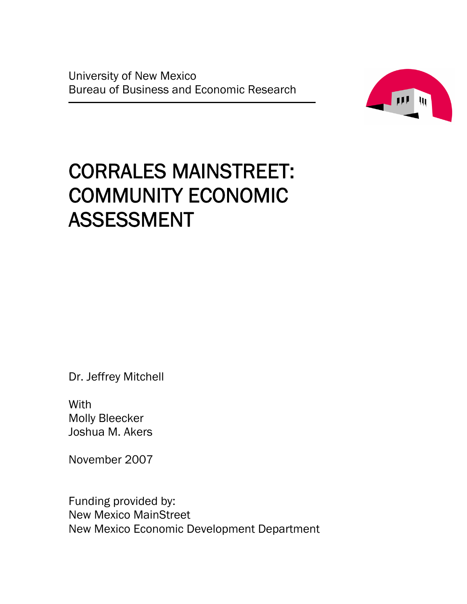University of New Mexico Bureau of Business and Economic Research



# CORRALES MAINSTREET: COMMUNITY ECONOMIC ASSESSMENT

Dr. Jeffrey Mitchell

**With** Molly Bleecker Joshua M. Akers

November 2007

Funding provided by: New Mexico MainStreet New Mexico Economic Development Department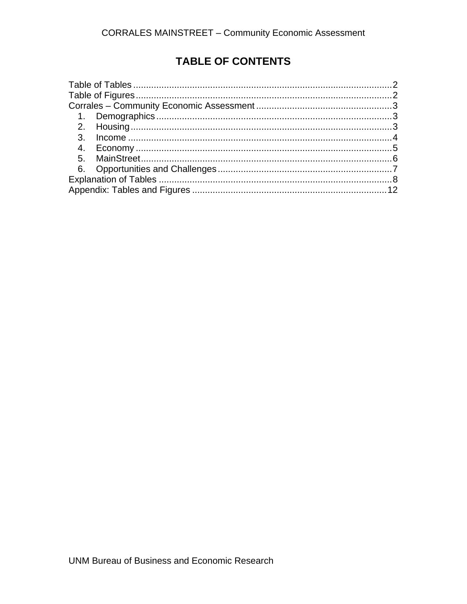# TABLE OF CONTENTS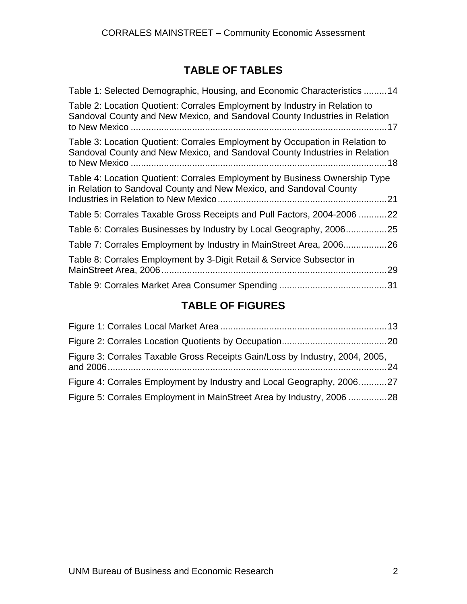# **TABLE OF TABLES**

<span id="page-3-0"></span>

| Table 1: Selected Demographic, Housing, and Economic Characteristics 14                                                                                          |
|------------------------------------------------------------------------------------------------------------------------------------------------------------------|
|                                                                                                                                                                  |
| Table 2: Location Quotient: Corrales Employment by Industry in Relation to<br>Sandoval County and New Mexico, and Sandoval County Industries in Relation<br>. 17 |
| Table 3: Location Quotient: Corrales Employment by Occupation in Relation to<br>Sandoval County and New Mexico, and Sandoval County Industries in Relation       |
| Table 4: Location Quotient: Corrales Employment by Business Ownership Type<br>in Relation to Sandoval County and New Mexico, and Sandoval County                 |
| Table 5: Corrales Taxable Gross Receipts and Pull Factors, 2004-2006<br>.22                                                                                      |
| Table 6: Corrales Businesses by Industry by Local Geography, 2006<br>.25                                                                                         |
| Table 7: Corrales Employment by Industry in MainStreet Area, 200626                                                                                              |
| Table 8: Corrales Employment by 3-Digit Retail & Service Subsector in<br>.29                                                                                     |
|                                                                                                                                                                  |

# **TABLE OF FIGURES**

| Figure 3: Corrales Taxable Gross Receipts Gain/Loss by Industry, 2004, 2005, |  |
|------------------------------------------------------------------------------|--|
| Figure 4: Corrales Employment by Industry and Local Geography, 200627        |  |
| Figure 5: Corrales Employment in MainStreet Area by Industry, 2006 28        |  |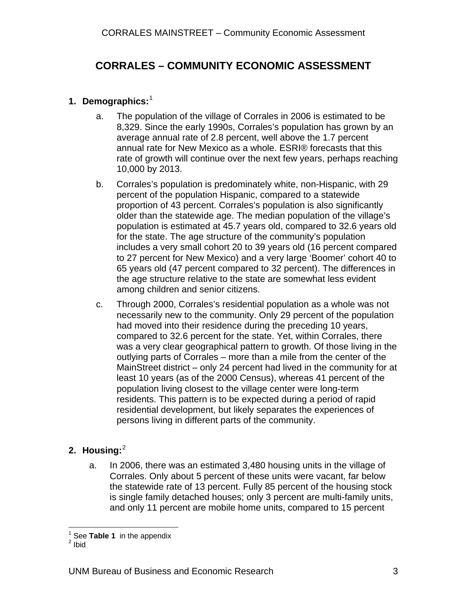# <span id="page-4-0"></span>**CORRALES – COMMUNITY ECONOMIC ASSESSMENT**

## **1. Demographics:** [1](#page-4-1)

- a. The population of the village of Corrales in 2006 is estimated to be 8,329. Since the early 1990s, Corrales's population has grown by an average annual rate of 2.8 percent, well above the 1.7 percent annual rate for New Mexico as a whole. ESRI® forecasts that this rate of growth will continue over the next few years, perhaps reaching 10,000 by 2013.
- b. Corrales's population is predominately white, non-Hispanic, with 29 percent of the population Hispanic, compared to a statewide proportion of 43 percent. Corrales's population is also significantly older than the statewide age. The median population of the village's population is estimated at 45.7 years old, compared to 32.6 years old for the state. The age structure of the community's population includes a very small cohort 20 to 39 years old (16 percent compared to 27 percent for New Mexico) and a very large 'Boomer' cohort 40 to 65 years old (47 percent compared to 32 percent). The differences in the age structure relative to the state are somewhat less evident among children and senior citizens.
- c. Through 2000, Corrales's residential population as a whole was not necessarily new to the community. Only 29 percent of the population had moved into their residence during the preceding 10 years, compared to 32.6 percent for the state. Yet, within Corrales, there was a very clear geographical pattern to growth. Of those living in the outlying parts of Corrales – more than a mile from the center of the MainStreet district – only 24 percent had lived in the community for at least 10 years (as of the 2000 Census), whereas 41 percent of the population living closest to the village center were long-term residents. This pattern is to be expected during a period of rapid residential development, but likely separates the experiences of persons living in different parts of the community.

## **2. Housing:** [2](#page-4-2)

a. In 2006, there was an estimated 3,480 housing units in the village of Corrales. Only about 5 percent of these units were vacant, far below the statewide rate of 13 percent. Fully 85 percent of the housing stock is single family detached houses; only 3 percent are multi-family units, and only 11 percent are mobile home units, compared to 15 percent

 $\overline{a}$ <sup>1</sup> See **Table 1** in the appendix  $\frac{2}{7}$ 

<span id="page-4-2"></span><span id="page-4-1"></span> $2$  Ibid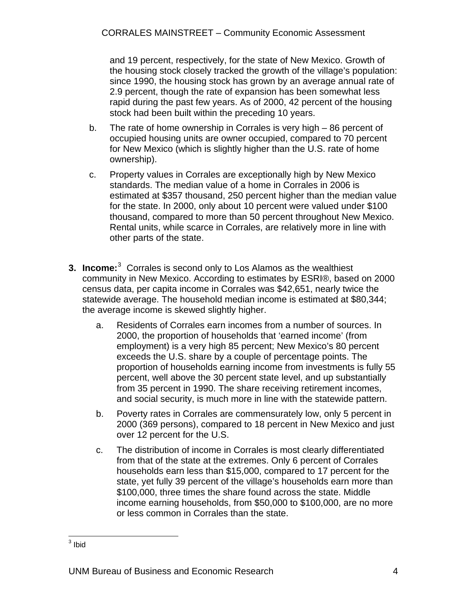<span id="page-5-0"></span>and 19 percent, respectively, for the state of New Mexico. Growth of the housing stock closely tracked the growth of the village's population: since 1990, the housing stock has grown by an average annual rate of 2.9 percent, though the rate of expansion has been somewhat less rapid during the past few years. As of 2000, 42 percent of the housing stock had been built within the preceding 10 years.

- b. The rate of home ownership in Corrales is very high 86 percent of occupied housing units are owner occupied, compared to 70 percent for New Mexico (which is slightly higher than the U.S. rate of home ownership).
- c. Property values in Corrales are exceptionally high by New Mexico standards. The median value of a home in Corrales in 2006 is estimated at \$357 thousand, 250 percent higher than the median value for the state. In 2000, only about 10 percent were valued under \$100 thousand, compared to more than 50 percent throughout New Mexico. Rental units, while scarce in Corrales, are relatively more in line with other parts of the state.
- **[3](#page-5-1). Income:**<sup>3</sup> Corrales is second only to Los Alamos as the wealthiest community in New Mexico. According to estimates by ESRI®, based on 2000 census data, per capita income in Corrales was \$42,651, nearly twice the statewide average. The household median income is estimated at \$80,344; the average income is skewed slightly higher.
	- a. Residents of Corrales earn incomes from a number of sources. In 2000, the proportion of households that 'earned income' (from employment) is a very high 85 percent; New Mexico's 80 percent exceeds the U.S. share by a couple of percentage points. The proportion of households earning income from investments is fully 55 percent, well above the 30 percent state level, and up substantially from 35 percent in 1990. The share receiving retirement incomes, and social security, is much more in line with the statewide pattern.
	- b. Poverty rates in Corrales are commensurately low, only 5 percent in 2000 (369 persons), compared to 18 percent in New Mexico and just over 12 percent for the U.S.
	- c. The distribution of income in Corrales is most clearly differentiated from that of the state at the extremes. Only 6 percent of Corrales households earn less than \$15,000, compared to 17 percent for the state, yet fully 39 percent of the village's households earn more than \$100,000, three times the share found across the state. Middle income earning households, from \$50,000 to \$100,000, are no more or less common in Corrales than the state.

<span id="page-5-1"></span> $3$  Ibid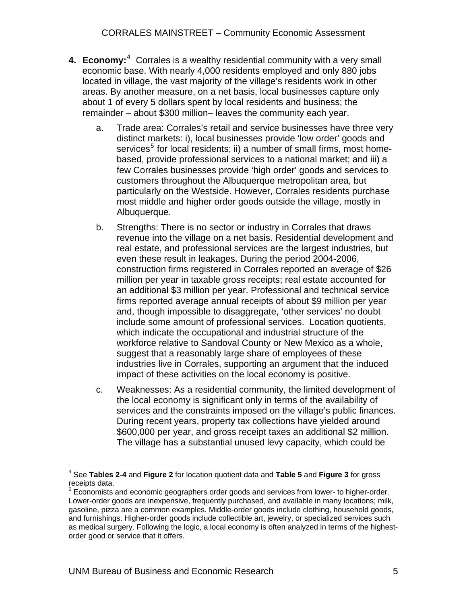- <span id="page-6-0"></span>**[4](#page-6-1). Economy:**<sup>4</sup> Corrales is a wealthy residential community with a very small economic base. With nearly 4,000 residents employed and only 880 jobs located in village, the vast majority of the village's residents work in other areas. By another measure, on a net basis, local businesses capture only about 1 of every 5 dollars spent by local residents and business; the remainder – about \$300 million– leaves the community each year.
	- a. Trade area: Corrales's retail and service businesses have three very distinct markets: i), local businesses provide 'low order' goods and services<sup>[5](#page-6-2)</sup> for local residents; ii) a number of small firms, most homebased, provide professional services to a national market; and iii) a few Corrales businesses provide 'high order' goods and services to customers throughout the Albuquerque metropolitan area, but particularly on the Westside. However, Corrales residents purchase most middle and higher order goods outside the village, mostly in Albuquerque.
	- b. Strengths: There is no sector or industry in Corrales that draws revenue into the village on a net basis. Residential development and real estate, and professional services are the largest industries, but even these result in leakages. During the period 2004-2006, construction firms registered in Corrales reported an average of \$26 million per year in taxable gross receipts; real estate accounted for an additional \$3 million per year. Professional and technical service firms reported average annual receipts of about \$9 million per year and, though impossible to disaggregate, 'other services' no doubt include some amount of professional services. Location quotients, which indicate the occupational and industrial structure of the workforce relative to Sandoval County or New Mexico as a whole, suggest that a reasonably large share of employees of these industries live in Corrales, supporting an argument that the induced impact of these activities on the local economy is positive.
	- c. Weaknesses: As a residential community, the limited development of the local economy is significant only in terms of the availability of services and the constraints imposed on the village's public finances. During recent years, property tax collections have yielded around \$600,000 per year, and gross receipt taxes an additional \$2 million. The village has a substantial unused levy capacity, which could be

 $\overline{a}$ 4 See **Tables 2-4** and **Figure 2** for location quotient data and **Table 5** and **Figure 3** for gross receipts data.

<span id="page-6-2"></span><span id="page-6-1"></span> $5$  Economists and economic geographers order goods and services from lower- to higher-order. Lower-order goods are inexpensive, frequently purchased, and available in many locations; milk, gasoline, pizza are a common examples. Middle-order goods include clothing, household goods, and furnishings. Higher-order goods include collectible art, jewelry, or specialized services such as medical surgery. Following the logic, a local economy is often analyzed in terms of the highestorder good or service that it offers.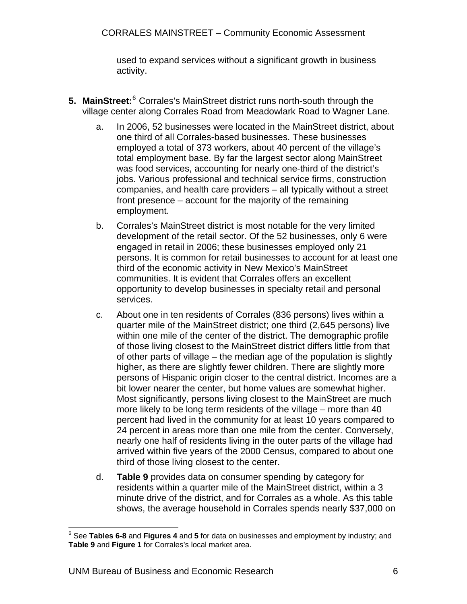used to expand services without a significant growth in business activity.

- <span id="page-7-0"></span>5. MainStreet:<sup>[6](#page-7-1)</sup> Corrales's MainStreet district runs north-south through the village center along Corrales Road from Meadowlark Road to Wagner Lane.
	- a. In 2006, 52 businesses were located in the MainStreet district, about one third of all Corrales-based businesses. These businesses employed a total of 373 workers, about 40 percent of the village's total employment base. By far the largest sector along MainStreet was food services, accounting for nearly one-third of the district's jobs. Various professional and technical service firms, construction companies, and health care providers – all typically without a street front presence – account for the majority of the remaining employment.
	- b. Corrales's MainStreet district is most notable for the very limited development of the retail sector. Of the 52 businesses, only 6 were engaged in retail in 2006; these businesses employed only 21 persons. It is common for retail businesses to account for at least one third of the economic activity in New Mexico's MainStreet communities. It is evident that Corrales offers an excellent opportunity to develop businesses in specialty retail and personal services.
	- c. About one in ten residents of Corrales (836 persons) lives within a quarter mile of the MainStreet district; one third (2,645 persons) live within one mile of the center of the district. The demographic profile of those living closest to the MainStreet district differs little from that of other parts of village – the median age of the population is slightly higher, as there are slightly fewer children. There are slightly more persons of Hispanic origin closer to the central district. Incomes are a bit lower nearer the center, but home values are somewhat higher. Most significantly, persons living closest to the MainStreet are much more likely to be long term residents of the village – more than 40 percent had lived in the community for at least 10 years compared to 24 percent in areas more than one mile from the center. Conversely, nearly one half of residents living in the outer parts of the village had arrived within five years of the 2000 Census, compared to about one third of those living closest to the center.
	- d. **Table 9** provides data on consumer spending by category for residents within a quarter mile of the MainStreet district, within a 3 minute drive of the district, and for Corrales as a whole. As this table shows, the average household in Corrales spends nearly \$37,000 on

<span id="page-7-1"></span> 6 See **Tables 6-8** and **Figures 4** and **5** for data on businesses and employment by industry; and **Table 9** and **Figure 1** for Corrales's local market area.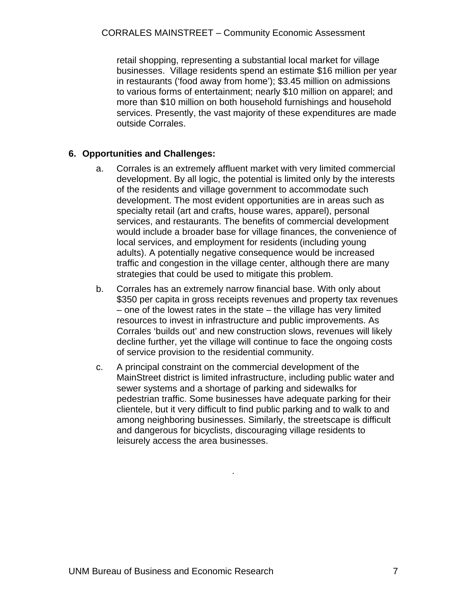<span id="page-8-0"></span>retail shopping, representing a substantial local market for village businesses. Village residents spend an estimate \$16 million per year in restaurants ('food away from home'); \$3.45 million on admissions to various forms of entertainment; nearly \$10 million on apparel; and more than \$10 million on both household furnishings and household services. Presently, the vast majority of these expenditures are made outside Corrales.

## **6. Opportunities and Challenges:**

- a. Corrales is an extremely affluent market with very limited commercial development. By all logic, the potential is limited only by the interests of the residents and village government to accommodate such development. The most evident opportunities are in areas such as specialty retail (art and crafts, house wares, apparel), personal services, and restaurants. The benefits of commercial development would include a broader base for village finances, the convenience of local services, and employment for residents (including young adults). A potentially negative consequence would be increased traffic and congestion in the village center, although there are many strategies that could be used to mitigate this problem.
- b. Corrales has an extremely narrow financial base. With only about \$350 per capita in gross receipts revenues and property tax revenues  $-$  one of the lowest rates in the state  $-$  the village has very limited resources to invest in infrastructure and public improvements. As Corrales 'builds out' and new construction slows, revenues will likely decline further, yet the village will continue to face the ongoing costs of service provision to the residential community.
- c. A principal constraint on the commercial development of the MainStreet district is limited infrastructure, including public water and sewer systems and a shortage of parking and sidewalks for pedestrian traffic. Some businesses have adequate parking for their clientele, but it very difficult to find public parking and to walk to and among neighboring businesses. Similarly, the streetscape is difficult and dangerous for bicyclists, discouraging village residents to leisurely access the area businesses.

.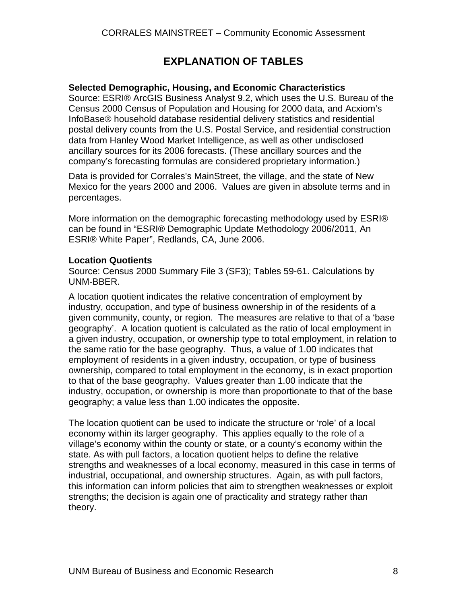# **EXPLANATION OF TABLES**

## <span id="page-9-0"></span>**Selected Demographic, Housing, and Economic Characteristics**

Source: ESRI® ArcGIS Business Analyst 9.2, which uses the U.S. Bureau of the Census 2000 Census of Population and Housing for 2000 data, and Acxiom's InfoBase® household database residential delivery statistics and residential postal delivery counts from the U.S. Postal Service, and residential construction data from Hanley Wood Market Intelligence, as well as other undisclosed ancillary sources for its 2006 forecasts. (These ancillary sources and the company's forecasting formulas are considered proprietary information.)

Data is provided for Corrales's MainStreet, the village, and the state of New Mexico for the years 2000 and 2006. Values are given in absolute terms and in percentages.

More information on the demographic forecasting methodology used by ESRI® can be found in "ESRI® Demographic Update Methodology 2006/2011, An ESRI® White Paper", Redlands, CA, June 2006.

## **Location Quotients**

Source: Census 2000 Summary File 3 (SF3); Tables 59-61. Calculations by UNM-BBER.

A location quotient indicates the relative concentration of employment by industry, occupation, and type of business ownership in of the residents of a given community, county, or region. The measures are relative to that of a 'base geography'. A location quotient is calculated as the ratio of local employment in a given industry, occupation, or ownership type to total employment, in relation to the same ratio for the base geography. Thus, a value of 1.00 indicates that employment of residents in a given industry, occupation, or type of business ownership, compared to total employment in the economy, is in exact proportion to that of the base geography. Values greater than 1.00 indicate that the industry, occupation, or ownership is more than proportionate to that of the base geography; a value less than 1.00 indicates the opposite.

The location quotient can be used to indicate the structure or 'role' of a local economy within its larger geography. This applies equally to the role of a village's economy within the county or state, or a county's economy within the state. As with pull factors, a location quotient helps to define the relative strengths and weaknesses of a local economy, measured in this case in terms of industrial, occupational, and ownership structures. Again, as with pull factors, this information can inform policies that aim to strengthen weaknesses or exploit strengths; the decision is again one of practicality and strategy rather than theory.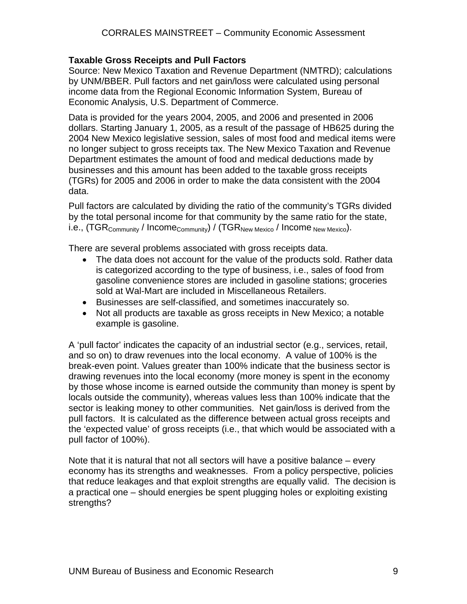## **Taxable Gross Receipts and Pull Factors**

Source: New Mexico Taxation and Revenue Department (NMTRD); calculations by UNM/BBER. Pull factors and net gain/loss were calculated using personal income data from the Regional Economic Information System, Bureau of Economic Analysis, U.S. Department of Commerce.

Data is provided for the years 2004, 2005, and 2006 and presented in 2006 dollars. Starting January 1, 2005, as a result of the passage of HB625 during the 2004 New Mexico legislative session, sales of most food and medical items were no longer subject to gross receipts tax. The New Mexico Taxation and Revenue Department estimates the amount of food and medical deductions made by businesses and this amount has been added to the taxable gross receipts (TGRs) for 2005 and 2006 in order to make the data consistent with the 2004 data.

Pull factors are calculated by dividing the ratio of the community's TGRs divided by the total personal income for that community by the same ratio for the state, i.e., (TGR<sub>Community</sub> / Income<sub>Community</sub>) / (TGR<sub>New Mexico</sub> / Income New Mexico).

There are several problems associated with gross receipts data.

- The data does not account for the value of the products sold. Rather data is categorized according to the type of business, i.e., sales of food from gasoline convenience stores are included in gasoline stations; groceries sold at Wal-Mart are included in Miscellaneous Retailers.
- Businesses are self-classified, and sometimes inaccurately so.
- Not all products are taxable as gross receipts in New Mexico; a notable example is gasoline.

A 'pull factor' indicates the capacity of an industrial sector (e.g., services, retail, and so on) to draw revenues into the local economy. A value of 100% is the break-even point. Values greater than 100% indicate that the business sector is drawing revenues into the local economy (more money is spent in the economy by those whose income is earned outside the community than money is spent by locals outside the community), whereas values less than 100% indicate that the sector is leaking money to other communities. Net gain/loss is derived from the pull factors. It is calculated as the difference between actual gross receipts and the 'expected value' of gross receipts (i.e., that which would be associated with a pull factor of 100%).

Note that it is natural that not all sectors will have a positive balance – every economy has its strengths and weaknesses. From a policy perspective, policies that reduce leakages and that exploit strengths are equally valid. The decision is a practical one – should energies be spent plugging holes or exploiting existing strengths?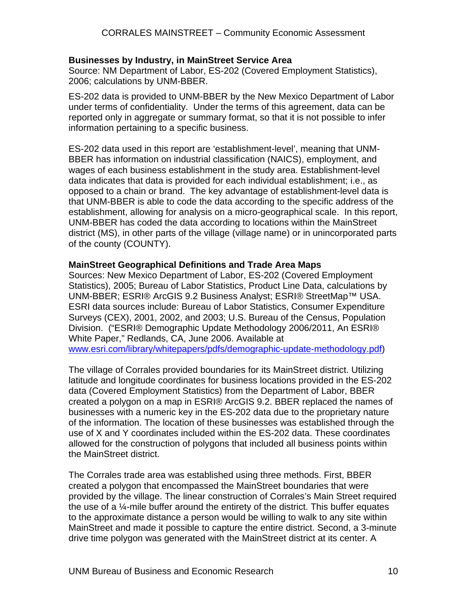#### **Businesses by Industry, in MainStreet Service Area**

Source: NM Department of Labor, ES-202 (Covered Employment Statistics), 2006; calculations by UNM-BBER.

ES-202 data is provided to UNM-BBER by the New Mexico Department of Labor under terms of confidentiality. Under the terms of this agreement, data can be reported only in aggregate or summary format, so that it is not possible to infer information pertaining to a specific business.

ES-202 data used in this report are 'establishment-level', meaning that UNM-BBER has information on industrial classification (NAICS), employment, and wages of each business establishment in the study area. Establishment-level data indicates that data is provided for each individual establishment; i.e., as opposed to a chain or brand. The key advantage of establishment-level data is that UNM-BBER is able to code the data according to the specific address of the establishment, allowing for analysis on a micro-geographical scale. In this report, UNM-BBER has coded the data according to locations within the MainStreet district (MS), in other parts of the village (village name) or in unincorporated parts of the county (COUNTY).

#### **MainStreet Geographical Definitions and Trade Area Maps**

Sources: New Mexico Department of Labor, ES-202 (Covered Employment Statistics), 2005; Bureau of Labor Statistics, Product Line Data, calculations by UNM-BBER; ESRI® ArcGIS 9.2 Business Analyst; ESRI® StreetMap™ USA. ESRI data sources include: Bureau of Labor Statistics, Consumer Expenditure Surveys (CEX), 2001, 2002, and 2003; U.S. Bureau of the Census, Population Division. ("ESRI® Demographic Update Methodology 2006/2011, An ESRI® White Paper," Redlands, CA, June 2006. Available at [www.esri.com/library/whitepapers/pdfs/demographic-update-methodology.pdf\)](http://www.esri.com/library/whitepapers/pdfs/demographic-update-methodology.pdf)

The village of Corrales provided boundaries for its MainStreet district. Utilizing latitude and longitude coordinates for business locations provided in the ES-202 data (Covered Employment Statistics) from the Department of Labor, BBER created a polygon on a map in ESRI® ArcGIS 9.2. BBER replaced the names of businesses with a numeric key in the ES-202 data due to the proprietary nature of the information. The location of these businesses was established through the use of X and Y coordinates included within the ES-202 data. These coordinates allowed for the construction of polygons that included all business points within the MainStreet district.

The Corrales trade area was established using three methods. First, BBER created a polygon that encompassed the MainStreet boundaries that were provided by the village. The linear construction of Corrales's Main Street required the use of a  $\frac{1}{4}$ -mile buffer around the entirety of the district. This buffer equates to the approximate distance a person would be willing to walk to any site within MainStreet and made it possible to capture the entire district. Second, a 3-minute drive time polygon was generated with the MainStreet district at its center. A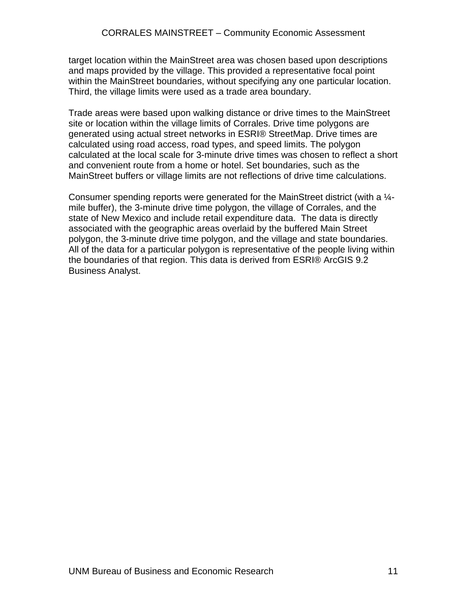target location within the MainStreet area was chosen based upon descriptions and maps provided by the village. This provided a representative focal point within the MainStreet boundaries, without specifying any one particular location. Third, the village limits were used as a trade area boundary.

Trade areas were based upon walking distance or drive times to the MainStreet site or location within the village limits of Corrales. Drive time polygons are generated using actual street networks in ESRI® StreetMap. Drive times are calculated using road access, road types, and speed limits. The polygon calculated at the local scale for 3-minute drive times was chosen to reflect a short and convenient route from a home or hotel. Set boundaries, such as the MainStreet buffers or village limits are not reflections of drive time calculations.

Consumer spending reports were generated for the MainStreet district (with a ¼ mile buffer), the 3-minute drive time polygon, the village of Corrales, and the state of New Mexico and include retail expenditure data. The data is directly associated with the geographic areas overlaid by the buffered Main Street polygon, the 3-minute drive time polygon, and the village and state boundaries. All of the data for a particular polygon is representative of the people living within the boundaries of that region. This data is derived from ESRI® ArcGIS 9.2 Business Analyst.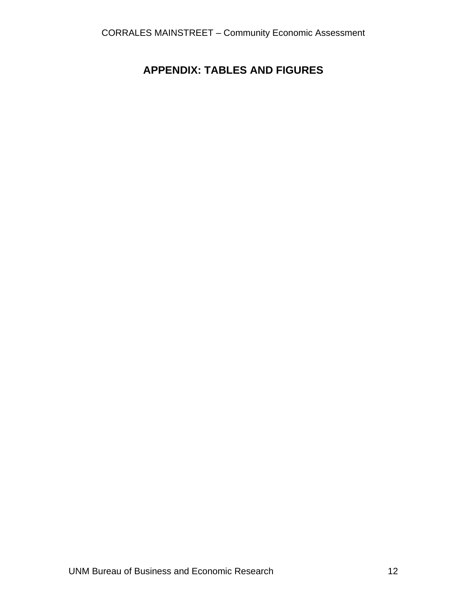# <span id="page-13-0"></span>**APPENDIX: TABLES AND FIGURES**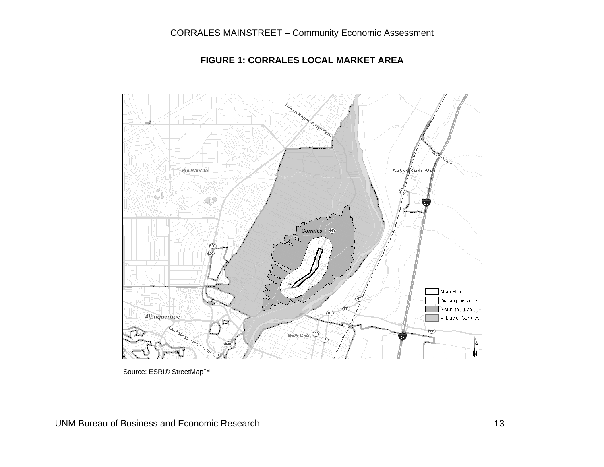

#### **FIGURE 1: CORRALES LOCAL MARKET AREA**

<span id="page-14-0"></span>Source: ESRI® StreetMap™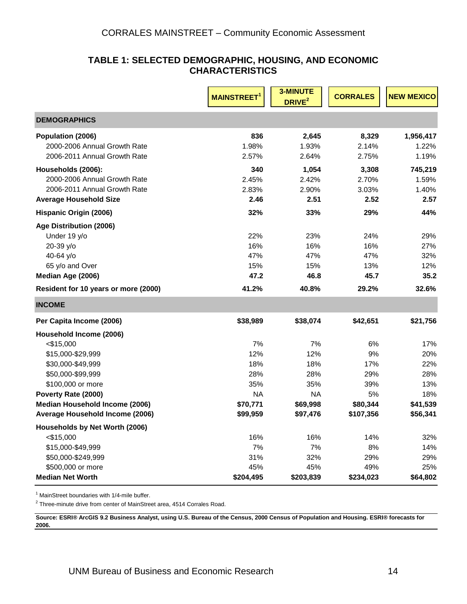#### **TABLE 1: SELECTED DEMOGRAPHIC, HOUSING, AND ECONOMIC CHARACTERISTICS**

<span id="page-15-0"></span>

|                                      | <b>MAINSTREET</b> | <b>3-MINUTE</b><br>DRIVE <sup>2</sup> | <b>CORRALES</b> | <b>NEW MEXICO</b> |
|--------------------------------------|-------------------|---------------------------------------|-----------------|-------------------|
| <b>DEMOGRAPHICS</b>                  |                   |                                       |                 |                   |
| Population (2006)                    | 836               | 2,645                                 | 8,329           | 1,956,417         |
| 2000-2006 Annual Growth Rate         | 1.98%             | 1.93%                                 | 2.14%           | 1.22%             |
| 2006-2011 Annual Growth Rate         | 2.57%             | 2.64%                                 | 2.75%           | 1.19%             |
| Households (2006):                   | 340               | 1,054                                 | 3,308           | 745,219           |
| 2000-2006 Annual Growth Rate         | 2.45%             | 2.42%                                 | 2.70%           | 1.59%             |
| 2006-2011 Annual Growth Rate         | 2.83%             | 2.90%                                 | 3.03%           | 1.40%             |
| <b>Average Household Size</b>        | 2.46              | 2.51                                  | 2.52            | 2.57              |
| Hispanic Origin (2006)               | 32%               | 33%                                   | 29%             | 44%               |
| Age Distribution (2006)              |                   |                                       |                 |                   |
| Under 19 y/o                         | 22%               | 23%                                   | 24%             | 29%               |
| 20-39 y/o                            | 16%               | 16%                                   | 16%             | 27%               |
| 40-64 y/o                            | 47%               | 47%                                   | 47%             | 32%               |
| 65 y/o and Over                      | 15%               | 15%                                   | 13%             | 12%               |
| Median Age (2006)                    | 47.2              | 46.8                                  | 45.7            | 35.2              |
| Resident for 10 years or more (2000) | 41.2%             | 40.8%                                 | 29.2%           | 32.6%             |
| <b>INCOME</b>                        |                   |                                       |                 |                   |
| Per Capita Income (2006)             | \$38,989          | \$38,074                              | \$42,651        | \$21,756          |
| Household Income (2006)              |                   |                                       |                 |                   |
| $<$ \$15,000                         | 7%                | 7%                                    | 6%              | 17%               |
| \$15,000-\$29,999                    | 12%               | 12%                                   | 9%              | 20%               |
| \$30,000-\$49,999                    | 18%               | 18%                                   | 17%             | 22%               |
| \$50,000-\$99,999                    | 28%               | 28%                                   | 29%             | 28%               |
| \$100,000 or more                    | 35%               | 35%                                   | 39%             | 13%               |
| Poverty Rate (2000)                  | <b>NA</b>         | <b>NA</b>                             | 5%              | 18%               |
| Median Household Income (2006)       | \$70,771          | \$69,998                              | \$80,344        | \$41,539          |
| Average Household Income (2006)      | \$99,959          | \$97,476                              | \$107,356       | \$56,341          |
| Households by Net Worth (2006)       |                   |                                       |                 |                   |
| $<$ \$15,000                         | 16%               | 16%                                   | 14%             | 32%               |
| \$15,000-\$49,999                    | 7%                | 7%                                    | 8%              | 14%               |
| \$50,000-\$249,999                   | 31%               | 32%                                   | 29%             | 29%               |
| \$500,000 or more                    | 45%               | 45%                                   | 49%             | 25%               |
| <b>Median Net Worth</b>              | \$204,495         | \$203,839                             | \$234,023       | \$64,802          |

<sup>1</sup> MainStreet boundaries with 1/4-mile buffer.

 $2$  Three-minute drive from center of MainStreet area, 4514 Corrales Road.

**Source: ESRI® ArcGIS 9.2 Business Analyst, using U.S. Bureau of the Census, 2000 Census of Population and Housing. ESRI® forecasts for 2006.**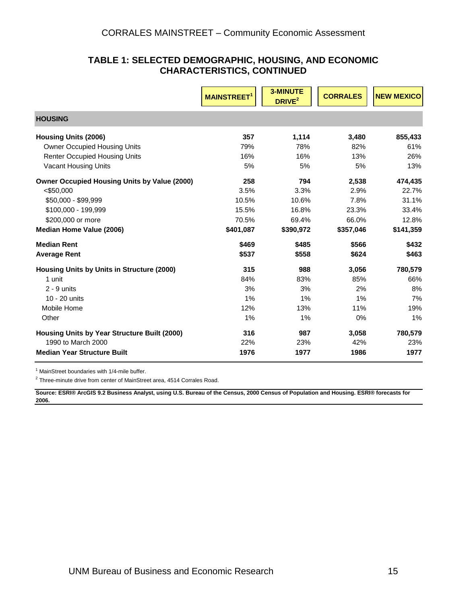#### **TABLE 1: SELECTED DEMOGRAPHIC, HOUSING, AND ECONOMIC CHARACTERISTICS, CONTINUED**

|                                                     | <b>MAINSTREET</b> | <b>3-MINUTE</b><br>DRIVE <sup>2</sup> | <b>CORRALES</b> | <b>NEW MEXICO</b> |
|-----------------------------------------------------|-------------------|---------------------------------------|-----------------|-------------------|
| <b>HOUSING</b>                                      |                   |                                       |                 |                   |
| <b>Housing Units (2006)</b>                         | 357               | 1,114                                 | 3,480           | 855,433           |
| <b>Owner Occupied Housing Units</b>                 | 79%               | 78%                                   | 82%             | 61%               |
| <b>Renter Occupied Housing Units</b>                | 16%               | 16%                                   | 13%             | 26%               |
| <b>Vacant Housing Units</b>                         | 5%                | 5%                                    | 5%              | 13%               |
| <b>Owner Occupied Housing Units by Value (2000)</b> | 258               | 794                                   | 2,538           | 474,435           |
| $<$ \$50,000                                        | 3.5%              | 3.3%                                  | 2.9%            | 22.7%             |
| \$50,000 - \$99.999                                 | 10.5%             | 10.6%                                 | 7.8%            | 31.1%             |
| \$100,000 - 199,999                                 | 15.5%             | 16.8%                                 | 23.3%           | 33.4%             |
| \$200,000 or more                                   | 70.5%             | 69.4%                                 | 66.0%           | 12.8%             |
| Median Home Value (2006)                            | \$401,087         | \$390,972                             | \$357,046       | \$141,359         |
| <b>Median Rent</b>                                  | \$469             | \$485                                 | \$566           | \$432             |
| <b>Average Rent</b>                                 | \$537             | \$558                                 | \$624           | \$463             |
| Housing Units by Units in Structure (2000)          | 315               | 988                                   | 3,056           | 780,579           |
| 1 unit                                              | 84%               | 83%                                   | 85%             | 66%               |
| $2 - 9$ units                                       | 3%                | 3%                                    | 2%              | 8%                |
| 10 - 20 units                                       | 1%                | 1%                                    | 1%              | 7%                |
| Mobile Home                                         | 12%               | 13%                                   | 11%             | 19%               |
| Other                                               | 1%                | 1%                                    | 0%              | 1%                |
| Housing Units by Year Structure Built (2000)        | 316               | 987                                   | 3,058           | 780,579           |
| 1990 to March 2000                                  | 22%               | 23%                                   | 42%             | 23%               |
| <b>Median Year Structure Built</b>                  | 1976              | 1977                                  | 1986            | 1977              |

<sup>1</sup> MainStreet boundaries with 1/4-mile buffer.

 $2$  Three-minute drive from center of MainStreet area, 4514 Corrales Road.

**Source: ESRI® ArcGIS 9.2 Business Analyst, using U.S. Bureau of the Census, 2000 Census of Population and Housing. ESRI® forecasts for 2006.**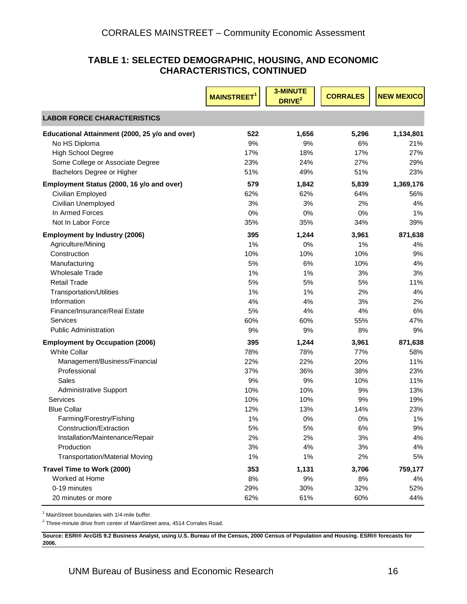#### **TABLE 1: SELECTED DEMOGRAPHIC, HOUSING, AND ECONOMIC CHARACTERISTICS, CONTINUED**

|                                                | <b>MAINSTREET</b> <sup>1</sup> | 3-MINUTE<br>DRIVE <sup>2</sup> | <b>CORRALES</b> | <b>NEW MEXICO</b> |
|------------------------------------------------|--------------------------------|--------------------------------|-----------------|-------------------|
| <b>LABOR FORCE CHARACTERISTICS</b>             |                                |                                |                 |                   |
| Educational Attainment (2000, 25 y/o and over) | 522                            | 1,656                          | 5,296           | 1,134,801         |
| No HS Diploma                                  | 9%                             | 9%                             | 6%              | 21%               |
| <b>High School Degree</b>                      | 17%                            | 18%                            | 17%             | 27%               |
| Some College or Associate Degree               | 23%                            | 24%                            | 27%             | 29%               |
| Bachelors Degree or Higher                     | 51%                            | 49%                            | 51%             | 23%               |
| Employment Status (2000, 16 y/o and over)      | 579                            | 1,842                          | 5,839           | 1,369,176         |
| Civilian Employed                              | 62%                            | 62%                            | 64%             | 56%               |
| Civilian Unemployed                            | 3%                             | 3%                             | 2%              | 4%                |
| In Armed Forces                                | 0%                             | 0%                             | 0%              | 1%                |
| Not In Labor Force                             | 35%                            | 35%                            | 34%             | 39%               |
| <b>Employment by Industry (2006)</b>           | 395                            | 1,244                          | 3,961           | 871,638           |
| Agriculture/Mining                             | 1%                             | 0%                             | 1%              | 4%                |
| Construction                                   | 10%                            | 10%                            | 10%             | 9%                |
| Manufacturing                                  | 5%                             | 6%                             | 10%             | 4%                |
| <b>Wholesale Trade</b>                         | 1%                             | 1%                             | 3%              | 3%                |
| <b>Retail Trade</b>                            | 5%                             | 5%                             | 5%              | 11%               |
| <b>Transportation/Utilities</b>                | 1%                             | 1%                             | 2%              | 4%                |
| Information                                    | 4%                             | 4%                             | 3%              | 2%                |
| Finance/Insurance/Real Estate                  | 5%                             | 4%                             | 4%              | 6%                |
| Services                                       | 60%                            | 60%                            | 55%             | 47%               |
| <b>Public Administration</b>                   | 9%                             | 9%                             | 8%              | 9%                |
| <b>Employment by Occupation (2006)</b>         | 395                            | 1,244                          | 3,961           | 871,638           |
| <b>White Collar</b>                            | 78%                            | 78%                            | 77%             | 58%               |
| Management/Business/Financial                  | 22%                            | 22%                            | 20%             | 11%               |
| Professional                                   | 37%                            | 36%                            | 38%             | 23%               |
| Sales                                          | 9%                             | 9%                             | 10%             | 11%               |
| <b>Administrative Support</b>                  | 10%                            | 10%                            | 9%              | 13%               |
| Services                                       | 10%                            | 10%                            | 9%              | 19%               |
| <b>Blue Collar</b>                             | 12%                            | 13%                            | 14%             | 23%               |
| Farming/Forestry/Fishing                       | 1%                             | 0%                             | 0%              | 1%                |
| Construction/Extraction                        | 5%                             | 5%                             | 6%              | $9\%$             |
| Installation/Maintenance/Repair                | 2%                             | 2%                             | 3%              | 4%                |
| Production                                     | 3%                             | 4%                             | 3%              | 4%                |
| <b>Transportation/Material Moving</b>          | 1%                             | 1%                             | 2%              | 5%                |
| Travel Time to Work (2000)                     | 353                            | 1,131                          | 3,706           | 759,177           |
| Worked at Home                                 | 8%                             | 9%                             | 8%              | 4%                |
| 0-19 minutes                                   | 29%                            | 30%                            | 32%             | 52%               |
| 20 minutes or more                             | 62%                            | 61%                            | 60%             | 44%               |

<sup>1</sup> MainStreet boundaries with 1/4-mile buffer.

 $2$  Three-minute drive from center of MainStreet area, 4514 Corrales Road.

**Source: ESRI® A rcGIS 9.2 Business Analyst, using U.S. Bureau of the Census, 2000 Census of Population and Housing. ESRI® forecasts for 2006.**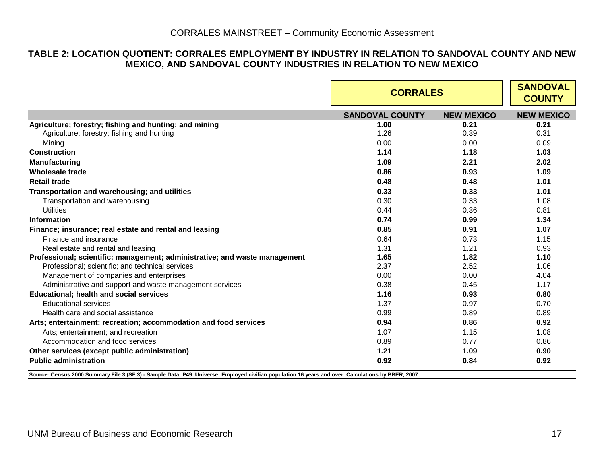#### **TABLE 2: LOCATION QUOTIENT: CORRALES EMPLOYMENT BY INDUSTRY IN RELATION TO SANDOVAL COUNTY AND NEW MEXICO, AND SANDOVAL COUNTY INDUSTRIES IN RELATION TO NEW MEXICO**

|                                                                            | <b>CORRALES</b>        |                   | <b>SANDOVAL</b><br><b>COUNTY</b> |
|----------------------------------------------------------------------------|------------------------|-------------------|----------------------------------|
|                                                                            | <b>SANDOVAL COUNTY</b> | <b>NEW MEXICO</b> | <b>NEW MEXICO</b>                |
| Agriculture; forestry; fishing and hunting; and mining                     | 1.00                   | 0.21              | 0.21                             |
| Agriculture; forestry; fishing and hunting                                 | 1.26                   | 0.39              | 0.31                             |
| Mining                                                                     | 0.00                   | 0.00              | 0.09                             |
| <b>Construction</b>                                                        | 1.14                   | 1.18              | 1.03                             |
| <b>Manufacturing</b>                                                       | 1.09                   | 2.21              | 2.02                             |
| Wholesale trade                                                            | 0.86                   | 0.93              | 1.09                             |
| <b>Retail trade</b>                                                        | 0.48                   | 0.48              | 1.01                             |
| Transportation and warehousing; and utilities                              | 0.33                   | 0.33              | 1.01                             |
| Transportation and warehousing                                             | 0.30                   | 0.33              | 1.08                             |
| <b>Utilities</b>                                                           | 0.44                   | 0.36              | 0.81                             |
| Information                                                                | 0.74                   | 0.99              | 1.34                             |
| Finance; insurance; real estate and rental and leasing                     | 0.85                   | 0.91              | 1.07                             |
| Finance and insurance                                                      | 0.64                   | 0.73              | 1.15                             |
| Real estate and rental and leasing                                         | 1.31                   | 1.21              | 0.93                             |
| Professional; scientific; management; administrative; and waste management | 1.65                   | 1.82              | 1.10                             |
| Professional; scientific; and technical services                           | 2.37                   | 2.52              | 1.06                             |
| Management of companies and enterprises                                    | 0.00                   | 0.00              | 4.04                             |
| Administrative and support and waste management services                   | 0.38                   | 0.45              | 1.17                             |
| <b>Educational; health and social services</b>                             | 1.16                   | 0.93              | 0.80                             |
| <b>Educational services</b>                                                | 1.37                   | 0.97              | 0.70                             |
| Health care and social assistance                                          | 0.99                   | 0.89              | 0.89                             |
| Arts; entertainment; recreation; accommodation and food services           | 0.94                   | 0.86              | 0.92                             |
| Arts; entertainment; and recreation                                        | 1.07                   | 1.15              | 1.08                             |
| Accommodation and food services                                            | 0.89                   | 0.77              | 0.86                             |
| Other services (except public administration)                              | 1.21                   | 1.09              | 0.90                             |
| <b>Public administration</b>                                               | 0.92                   | 0.84              | 0.92                             |

<span id="page-18-0"></span>**Source: Census 2000 Summary File 3 (SF 3) - Sample Data; P49. Universe: Employed civilian population 16 years and over. Calculations by BBER, 2007.**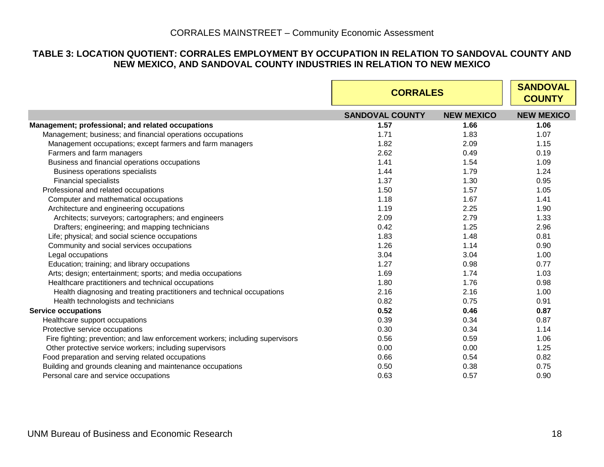#### **TABLE 3: LOCATION QUOTIENT: CORRALES EMPLOYMENT BY OCCUPATION IN RELATION TO SANDOVAL COUNTY AND NEW MEXICO, AND SANDOVAL COUNTY INDUSTRIES IN RELATION TO NEW MEXICO**

<span id="page-19-0"></span>

|                                                                               |                        | <b>CORRALES</b>   |                   |  |
|-------------------------------------------------------------------------------|------------------------|-------------------|-------------------|--|
|                                                                               | <b>SANDOVAL COUNTY</b> | <b>NEW MEXICO</b> | <b>NEW MEXICO</b> |  |
| Management; professional; and related occupations                             | 1.57                   | 1.66              | 1.06              |  |
| Management; business; and financial operations occupations                    | 1.71                   | 1.83              | 1.07              |  |
| Management occupations; except farmers and farm managers                      | 1.82                   | 2.09              | 1.15              |  |
| Farmers and farm managers                                                     | 2.62                   | 0.49              | 0.19              |  |
| Business and financial operations occupations                                 | 1.41                   | 1.54              | 1.09              |  |
| Business operations specialists                                               | 1.44                   | 1.79              | 1.24              |  |
| <b>Financial specialists</b>                                                  | 1.37                   | 1.30              | 0.95              |  |
| Professional and related occupations                                          | 1.50                   | 1.57              | 1.05              |  |
| Computer and mathematical occupations                                         | 1.18                   | 1.67              | 1.41              |  |
| Architecture and engineering occupations                                      | 1.19                   | 2.25              | 1.90              |  |
| Architects; surveyors; cartographers; and engineers                           | 2.09                   | 2.79              | 1.33              |  |
| Drafters; engineering; and mapping technicians                                | 0.42                   | 1.25              | 2.96              |  |
| Life; physical; and social science occupations                                | 1.83                   | 1.48              | 0.81              |  |
| Community and social services occupations                                     | 1.26                   | 1.14              | 0.90              |  |
| Legal occupations                                                             | 3.04                   | 3.04              | 1.00              |  |
| Education; training; and library occupations                                  | 1.27                   | 0.98              | 0.77              |  |
| Arts; design; entertainment; sports; and media occupations                    | 1.69                   | 1.74              | 1.03              |  |
| Healthcare practitioners and technical occupations                            | 1.80                   | 1.76              | 0.98              |  |
| Health diagnosing and treating practitioners and technical occupations        | 2.16                   | 2.16              | 1.00              |  |
| Health technologists and technicians                                          | 0.82                   | 0.75              | 0.91              |  |
| <b>Service occupations</b>                                                    | 0.52                   | 0.46              | 0.87              |  |
| Healthcare support occupations                                                | 0.39                   | 0.34              | 0.87              |  |
| Protective service occupations                                                | 0.30                   | 0.34              | 1.14              |  |
| Fire fighting; prevention; and law enforcement workers; including supervisors | 0.56                   | 0.59              | 1.06              |  |
| Other protective service workers; including supervisors                       | 0.00                   | 0.00              | 1.25              |  |
| Food preparation and serving related occupations                              | 0.66                   | 0.54              | 0.82              |  |
| Building and grounds cleaning and maintenance occupations                     | 0.50                   | 0.38              | 0.75              |  |
| Personal care and service occupations                                         | 0.63                   | 0.57              | 0.90              |  |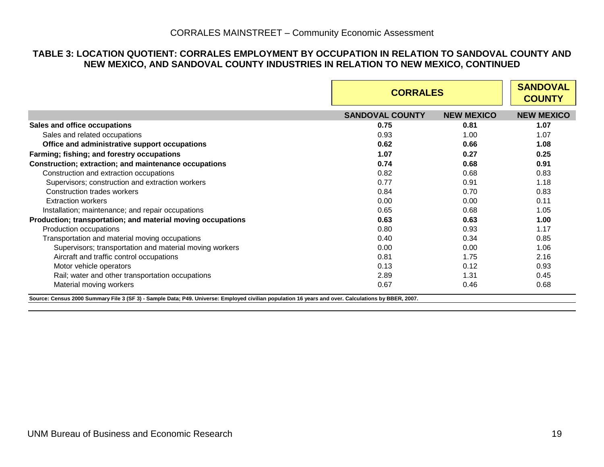#### **TABLE 3: LOCATION QUOTIENT: CORRALES EMPLOYMENT BY OCCUPATION IN RELATION TO SANDOVAL COUNTY AND NEW MEXICO, AND SANDOVAL COUNTY INDUSTRIES IN RELATION TO NEW MEXICO, CONTINUED**

|                                                                                                                                                                                | <b>CORRALES</b>        | <b>SANDOVAL</b><br><b>COUNTY</b> |                   |
|--------------------------------------------------------------------------------------------------------------------------------------------------------------------------------|------------------------|----------------------------------|-------------------|
|                                                                                                                                                                                | <b>SANDOVAL COUNTY</b> | <b>NEW MEXICO</b>                | <b>NEW MEXICO</b> |
| Sales and office occupations                                                                                                                                                   | 0.75                   | 0.81                             | 1.07              |
| Sales and related occupations                                                                                                                                                  | 0.93                   | 1.00                             | 1.07              |
| Office and administrative support occupations                                                                                                                                  | 0.62                   | 0.66                             | 1.08              |
| Farming; fishing; and forestry occupations                                                                                                                                     | 1.07                   | 0.27                             | 0.25              |
| Construction; extraction; and maintenance occupations                                                                                                                          | 0.74                   | 0.68                             | 0.91              |
| Construction and extraction occupations                                                                                                                                        | 0.82                   | 0.68                             | 0.83              |
| Supervisors; construction and extraction workers                                                                                                                               | 0.77                   | 0.91                             | 1.18              |
| Construction trades workers                                                                                                                                                    | 0.84                   | 0.70                             | 0.83              |
| <b>Extraction workers</b>                                                                                                                                                      | 0.00                   | 0.00                             | 0.11              |
| Installation; maintenance; and repair occupations                                                                                                                              | 0.65                   | 0.68                             | 1.05              |
| Production; transportation; and material moving occupations                                                                                                                    | 0.63                   | 0.63                             | 1.00              |
| Production occupations                                                                                                                                                         | 0.80                   | 0.93                             | 1.17              |
| Transportation and material moving occupations                                                                                                                                 | 0.40                   | 0.34                             | 0.85              |
| Supervisors; transportation and material moving workers                                                                                                                        | 0.00                   | 0.00                             | 1.06              |
| Aircraft and traffic control occupations                                                                                                                                       | 0.81                   | 1.75                             | 2.16              |
| Motor vehicle operators                                                                                                                                                        | 0.13                   | 0.12                             | 0.93              |
| Rail; water and other transportation occupations                                                                                                                               | 2.89                   | 1.31                             | 0.45              |
| Material moving workers<br>Source: Census 2000 Summary File 3 (SF 3) - Sample Data; P49. Universe: Employed civilian population 16 years and over. Calculations by BBER, 2007. | 0.67                   | 0.46                             | 0.68              |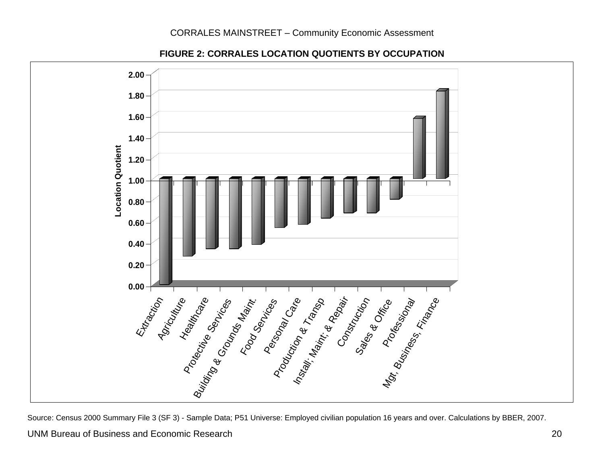

**FIGURE 2: CORRALES LOCATION QUOTIENTS BY OCCUPATION** 

<span id="page-21-0"></span>Source: Census 2000 Summary File 3 (SF 3) - Sample Data; P51 Universe: Employed civilian population 16 years and over. Calculations by BBER, 2007.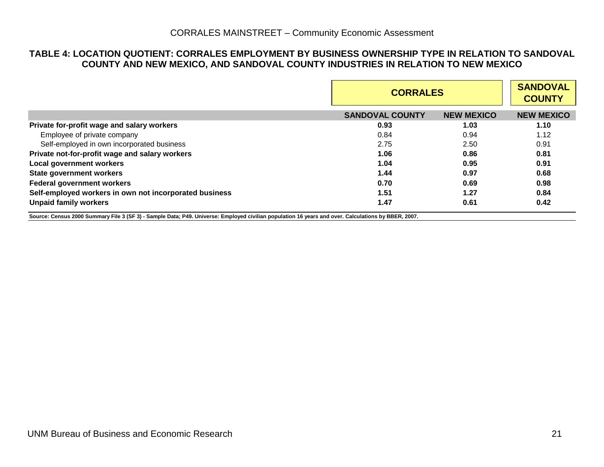#### **TABLE 4: LOCATION QUOTIENT: CORRALES EMPLOYMENT BY BUSINESS OWNERSHIP TYPE IN RELATION TO SANDOVAL COUNTY AND NEW MEXICO, AND SANDOVAL COUNTY INDUSTRIES IN RELATION TO NEW MEXICO**

|                                                        | <b>CORRALES</b>        |                   | <b>SANDOVAL</b><br><b>COUNTY</b> |
|--------------------------------------------------------|------------------------|-------------------|----------------------------------|
|                                                        | <b>SANDOVAL COUNTY</b> | <b>NEW MEXICO</b> | <b>NEW MEXICO</b>                |
| Private for-profit wage and salary workers             | 0.93                   | 1.03              | 1.10                             |
| Employee of private company                            | 0.84                   | 0.94              | 1.12                             |
| Self-employed in own incorporated business             | 2.75                   | 2.50              | 0.91                             |
| Private not-for-profit wage and salary workers         | 1.06                   | 0.86              | 0.81                             |
| Local government workers                               | 1.04                   | 0.95              | 0.91                             |
| <b>State government workers</b>                        | 1.44                   | 0.97              | 0.68                             |
| <b>Federal government workers</b>                      | 0.70                   | 0.69              | 0.98                             |
| Self-employed workers in own not incorporated business | 1.51                   | 1.27              | 0.84                             |
| <b>Unpaid family workers</b>                           | 1.47                   | 0.61              | 0.42                             |

<span id="page-22-0"></span>**Source: Census 2000 Summary File 3 (SF 3) - Sample Data; P49. Universe: Employed civilian population 16 years and over. Calculations by BBER, 2007.**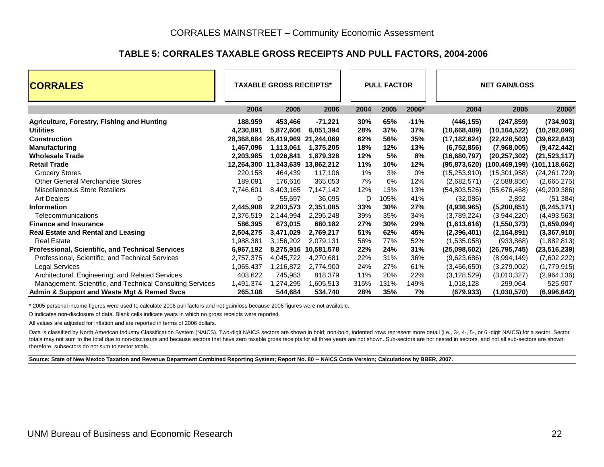#### **TABLE 5: CORRALES TAXABLE GROSS RECEIPTS AND PULL FACTORS, 2004-2006**

| <b>CORRALES</b>                                           | <b>TAXABLE GROSS RECEIPTS*</b> |                                  |                      | <b>PULL FACTOR</b> |      |        | <b>NET GAIN/LOSS</b> |                                     |                |  |
|-----------------------------------------------------------|--------------------------------|----------------------------------|----------------------|--------------------|------|--------|----------------------|-------------------------------------|----------------|--|
|                                                           | 2004                           | 2005                             | 2006                 | 2004               | 2005 | 2006*  | 2004                 | 2005                                | 2006*          |  |
| Agriculture, Forestry, Fishing and Hunting                | 188,959                        | 453,466                          | $-71,221$            | 30%                | 65%  | $-11%$ | (446, 155)           | (247, 859)                          | (734, 903)     |  |
| <b>Utilities</b>                                          | 4,230,891                      | 5,872,606                        | 6,051,394            | 28%                | 37%  | 37%    | (10,668,489)         | (10, 164, 522)                      | (10, 282, 096) |  |
| <b>Construction</b>                                       | 28,368,684                     | 28,419,969                       | 21,244,069           | 62%                | 56%  | 35%    | (17, 182, 624)       | (22, 428, 503)                      | (39,622,643)   |  |
| <b>Manufacturing</b>                                      | 1,467,096                      | 1,113,061                        | 1,375,205            | 18%                | 12%  | 13%    | (6,752,856)          | (7,968,005)                         | (9,472,442)    |  |
| <b>Wholesale Trade</b>                                    | 2,203,985                      | 1,026,841                        | 1,879,328            | 12%                | 5%   | 8%     | (16,680,797)         | (20, 257, 302)                      | (21, 523, 117) |  |
| <b>Retail Trade</b>                                       |                                | 12,264,300 11,343,639 13,862,212 |                      | 11%                | 10%  | 12%    | (95,873,620)         | $(100, 469, 199)$ $(101, 118, 662)$ |                |  |
| <b>Grocery Stores</b>                                     | 220,158                        | 464,439                          | 117,106              | 1%                 | 3%   | 0%     | (15, 253, 910)       | (15,301,958)                        | (24, 261, 729) |  |
| <b>Other General Merchandise Stores</b>                   | 189,091                        | 176,616                          | 365,053              | 7%                 | 6%   | 12%    | (2,682,571)          | (2,588,856)                         | (2,665,275)    |  |
| Miscellaneous Store Retailers                             | 7,746,601                      | 8,403,165                        | 7,147,142            | 12%                | 13%  | 13%    | (54,803,526)         | (55,676,468)                        | (49, 209, 386) |  |
| <b>Art Dealers</b>                                        | D                              | 55,697                           | 36,095               | D                  | 105% | 41%    | (32,086)             | 2,892                               | (51, 384)      |  |
| <b>Information</b>                                        | 2,445,908                      | 2,203,573                        | 2,351,085            | 33%                | 30%  | 27%    | (4,936,965)          | (5,200,851)                         | (6, 245, 171)  |  |
| Telecommunications                                        | 2,376,519                      | 2,144,994                        | 2,295,248            | 39%                | 35%  | 34%    | (3,789,224)          | (3,944,220)                         | (4, 493, 563)  |  |
| <b>Finance and Insurance</b>                              | 586,395                        | 673,015                          | 680,182              | 27%                | 30%  | 29%    | (1,613,616)          | (1,550,373)                         | (1,659,094)    |  |
| <b>Real Estate and Rental and Leasing</b>                 | 2,504,275                      | 3,471,029                        | 2,769,217            | 51%                | 62%  | 45%    | (2,396,401)          | (2, 164, 891)                       | (3,367,910)    |  |
| <b>Real Estate</b>                                        | 1,988,381                      | 3,156,202                        | 2,079,131            | 56%                | 77%  | 52%    | (1,535,058)          | (933, 868)                          | (1,882,813)    |  |
| Professional, Scientific, and Technical Services          | 6,967,192                      |                                  | 8,275,916 10,581,578 | 22%                | 24%  | 31%    | (25,098,602)         | (26, 795, 745)                      | (23, 516, 239) |  |
| Professional, Scientific, and Technical Services          | 2,757,375                      | 4,045,722                        | 4,270,681            | 22%                | 31%  | 36%    | (9,623,686)          | (8,994,149)                         | (7,602,222)    |  |
| <b>Legal Services</b>                                     | 1,065,437                      | 1,216,872                        | 2,774,900            | 24%                | 27%  | 61%    | (3,466,650)          | (3,279,002)                         | (1,779,915)    |  |
| Architectural, Engineering, and Related Services          | 403,622                        | 745,983                          | 818,379              | 11%                | 20%  | 22%    | (3, 128, 529)        | (3,010,327)                         | (2,964,136)    |  |
| Management, Scientific, and Technical Consulting Services | 1,491,374                      | 1,274,295                        | 1,605,513            | 315%               | 131% | 149%   | 1,018,128            | 299,064                             | 525,907        |  |
| Admin & Support and Waste Mgt & Remed Svcs                | 265,108                        | 544,684                          | 534,740              | 28%                | 35%  | 7%     | (679, 933)           | (1,030,570)                         | (6,996,642)    |  |

\* 2005 personal income figures were used to calculate 2006 pull factors and net gain/loss because 2006 figures were not available.

D indicates non-disclosure of data. Blank cells indicate years in which no gross receipts were reported.

All values are adjusted for inflation and are reported in terms of 2006 dollars.

Data is classified by North American Industry Classification System (NAICS). Two-digit NAICS sectors are shown in bold; non-bold, indented rows represent more detail (i.e., 3-, 4-, 5-, or 6.-digit NAICS) for a sector. Sect totals may not sum to the total due to non-disclosure and because sectors that have zero taxable gross receipts for all three years are not shown. Sub-sectors are not nested in sectors, and not all sub-sectors are shown; therefore, subsectors do not sum to sector totals.

<span id="page-23-0"></span>**Source: State of New Mexico Taxation and Revenue Department Combined Reporting System; Report No. 80 -- NAICS Code Version; Calculations by BBER, 2007.**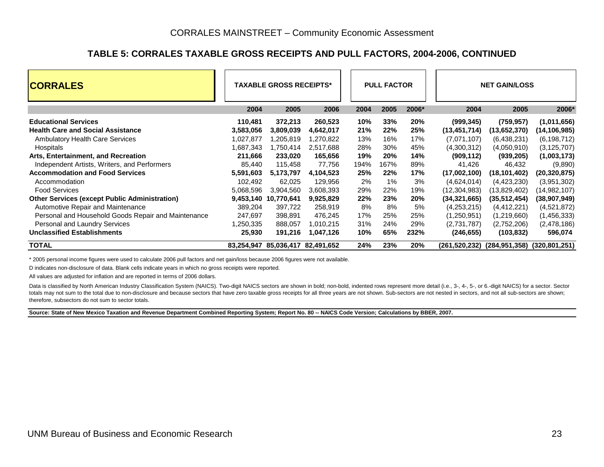#### **TABLE 5: CORRALES TAXABLE GROSS RECEIPTS AND PULL FACTORS, 2004-2006, CONTINUED**

| <b>CORRALES</b>                                      | <b>TAXABLE GROSS RECEIPTS*</b> |            |                                  |      | <b>PULL FACTOR</b> |       | <b>NET GAIN/LOSS</b> |                                           |                |  |
|------------------------------------------------------|--------------------------------|------------|----------------------------------|------|--------------------|-------|----------------------|-------------------------------------------|----------------|--|
|                                                      | 2004                           | 2005       | 2006                             | 2004 | 2005               | 2006* | 2004                 | 2005                                      | 2006*          |  |
| <b>Educational Services</b>                          | 110,481                        | 372,213    | 260,523                          | 10%  | 33%                | 20%   | (999, 345)           | (759, 957)                                | (1,011,656)    |  |
| <b>Health Care and Social Assistance</b>             | 3,583,056                      | 3,809,039  | 4,642,017                        | 21%  | 22%                | 25%   | (13, 451, 714)       | (13,652,370)                              | (14,106,985)   |  |
| <b>Ambulatory Health Care Services</b>               | 1,027,877                      | .205,819   | 1,270,822                        | 13%  | 16%                | 17%   | (7,071,107)          | (6,438,231)                               | (6, 198, 712)  |  |
| Hospitals                                            | 1,687,343                      | .750,414   | 2,517,688                        | 28%  | 30%                | 45%   | (4,300,312)          | (4,050,910)                               | (3, 125, 707)  |  |
| Arts, Entertainment, and Recreation                  | 211,666                        | 233,020    | 165,656                          | 19%  | <b>20%</b>         | 14%   | (909, 112)           | (939, 205)                                | (1,003,173)    |  |
| Independent Artists, Writers, and Performers         | 85,440                         | 115.458    | 77,756                           | 194% | 167%               | 89%   | 41,426               | 46,432                                    | (9,890)        |  |
| <b>Accommodation and Food Services</b>               | 5,591,603                      | 5,173,797  | 4,104,523                        | 25%  | 22%                | 17%   | (17,002,100)         | (18, 101, 402)                            | (20, 320, 875) |  |
| Accommodation                                        | 102.492                        | 62,025     | 129,956                          | 2%   | $1\%$              | 3%    | (4,624,014)          | (4,423,230)                               | (3,951,302)    |  |
| <b>Food Services</b>                                 | 5,068,596                      | 3,904,560  | 3,608,393                        | 29%  | 22%                | 19%   | (12, 304, 983)       | (13,829,402)                              | (14,982,107)   |  |
| <b>Other Services (except Public Administration)</b> | 9,453,140                      | 10,770,641 | 9,925,829                        | 22%  | 23%                | 20%   | (34, 321, 665)       | (35, 512, 454)                            | (38,907,949)   |  |
| Automotive Repair and Maintenance                    | 389,204                        | 397,722    | 258,919                          | 8%   | 8%                 | 5%    | (4,253,215)          | (4,412,221)                               | (4,521,872)    |  |
| Personal and Household Goods Repair and Maintenance  | 247,697                        | 398,891    | 476,245                          | 17%  | 25%                | 25%   | (1,250,951)          | (1,219,660)                               | (1,456,333)    |  |
| Personal and Laundry Services                        | 1,250,335                      | 888,057    | 1,010,215                        | 31%  | 24%                | 29%   | (2,731,787)          | (2,752,206)                               | (2,478,186)    |  |
| <b>Unclassified Establishments</b>                   | 25,930                         | 191,216    | 1,047,126                        | 10%  | 65%                | 232%  | (246, 655)           | (103, 832)                                | 596,074        |  |
| <b>TOTAL</b>                                         |                                |            | 83,254,947 85,036,417 82,491,652 | 24%  | 23%                | 20%   |                      | (261,520,232) (284,951,358) (320,801,251) |                |  |

\* 2005 personal income figures were used to calculate 2006 pull factors and net gain/loss because 2006 figures were not available.

D indicates non-disclosure of data. Blank cells indicate years in which no gross receipts were reported.

All values are adjusted for inflation and are reported in terms of 2006 dollars.

Data is classified by North American Industry Classification System (NAICS). Two-digit NAICS sectors are shown in bold; non-bold, indented rows represent more detail (i.e., 3-, 4-, 5-, or 6.-digit NAICS) for a sector. Sect totals may not sum to the total due to non-disclosure and because sectors that have zero taxable gross receipts for all three years are not shown. Sub-sectors are not nested in sectors, and not all sub-sectors are shown; therefore, subsectors do not sum to sector totals.

**Source: State of New Mexico Taxation and Revenue Department Combined Reporting System; Report No. 80 -- NAICS Code Version; Calculations by BBER, 2007.**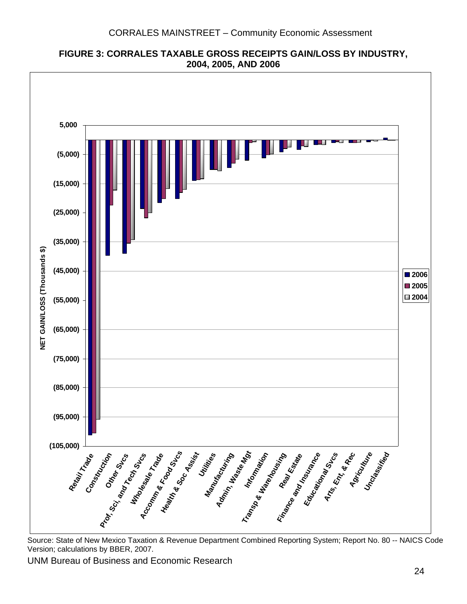<span id="page-25-0"></span>

**FIGURE 3: CORRALES TAXABLE GROSS RECEIPTS GAIN/LOSS BY INDUSTRY, 2004, 2005, AND 2006** 

 Source: State of New Mexico Taxation & Revenue Department Combined Reporting System; Report No. 80 -- NAICS Code Version; calculations by BBER, 2007.

UNM Bur eau of Business and Economic Research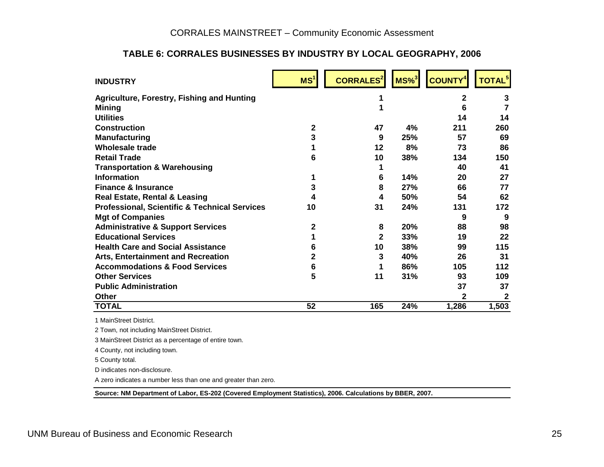## **TABLE 6: CORRALES BUSINESSES BY INDUSTRY BY LOCAL GEOGRAPHY, 2006**

| <b>INDUSTRY</b>                                          | MS <sup>1</sup> | <b>CORRALES<sup>2</sup></b> | $MS\%$ <sup>3</sup> | <b>COUNTY</b> | <b>TOTAL<sup>5</sup></b> |
|----------------------------------------------------------|-----------------|-----------------------------|---------------------|---------------|--------------------------|
| <b>Agriculture, Forestry, Fishing and Hunting</b>        |                 | 1                           |                     | 2             | 3                        |
| <b>Mining</b>                                            |                 | 1                           |                     | 6             | 7                        |
| <b>Utilities</b>                                         |                 |                             |                     | 14            | 14                       |
| <b>Construction</b>                                      | $\mathbf{2}$    | 47                          | 4%                  | 211           | 260                      |
| <b>Manufacturing</b>                                     | 3               | 9                           | 25%                 | 57            | 69                       |
| <b>Wholesale trade</b>                                   |                 | 12                          | 8%                  | 73            | 86                       |
| <b>Retail Trade</b>                                      | 6               | 10                          | 38%                 | 134           | 150                      |
| <b>Transportation &amp; Warehousing</b>                  |                 |                             |                     | 40            | 41                       |
| <b>Information</b>                                       | 1               | 6                           | 14%                 | 20            | 27                       |
| <b>Finance &amp; Insurance</b>                           | 3               | 8                           | 27%                 | 66            | 77                       |
| <b>Real Estate, Rental &amp; Leasing</b>                 | 4               | 4                           | 50%                 | 54            | 62                       |
| <b>Professional, Scientific &amp; Technical Services</b> | 10              | 31                          | 24%                 | 131           | 172                      |
| <b>Mgt of Companies</b>                                  |                 |                             |                     | 9             | 9                        |
| <b>Administrative &amp; Support Services</b>             | 2               | 8                           | 20%                 | 88            | 98                       |
| <b>Educational Services</b>                              |                 | $\overline{2}$              | 33%                 | 19            | 22                       |
| <b>Health Care and Social Assistance</b>                 | 6               | 10                          | 38%                 | 99            | 115                      |
| <b>Arts, Entertainment and Recreation</b>                | 2               | 3                           | 40%                 | 26            | 31                       |
| <b>Accommodations &amp; Food Services</b>                | 6               | 1                           | 86%                 | 105           | 112                      |
| <b>Other Services</b>                                    | 5               | 11                          | 31%                 | 93            | 109                      |
| <b>Public Administration</b>                             |                 |                             |                     | 37            | 37                       |
| <b>Other</b>                                             |                 |                             |                     | $\mathbf 2$   | $\mathbf{2}$             |
| <b>TOTAL</b>                                             | 52              | 165                         | 24%                 | 1,286         | 1,503                    |
| 1 MainStreet District.                                   |                 |                             |                     |               |                          |
| 2 Town, not including MainStreet District.               |                 |                             |                     |               |                          |
| 3 MainStreet District as a percentage of entire town.    |                 |                             |                     |               |                          |
| 4 County, not including town.                            |                 |                             |                     |               |                          |
| 5 County total.                                          |                 |                             |                     |               |                          |

D indicates non-disclosure.

A zero indicates a number less than one and greater than zero.

<span id="page-26-0"></span>**Source: NM Department of Labor, ES-202 (Covered Employment Statistics), 2006. Calculations by BBER, 2007.**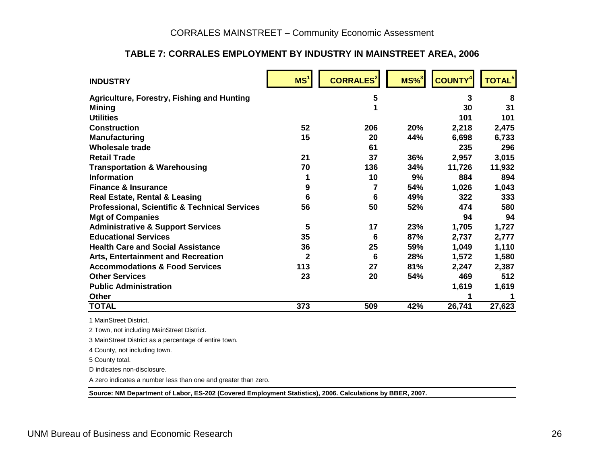## **TABLE 7: CORRALES EMPLOYMENT BY INDUSTRY IN MAINSTREET AREA, 2006**

| <b>INDUSTRY</b>                                          | MS <sup>1</sup> | <b>CORRALES<sup>2</sup></b> | $MS\%$ <sup>3</sup> | <b>COUNTY<sup>4</sup></b> | <b>TOTAL<sup>5</sup></b> |
|----------------------------------------------------------|-----------------|-----------------------------|---------------------|---------------------------|--------------------------|
| <b>Agriculture, Forestry, Fishing and Hunting</b>        |                 | 5                           |                     | 3                         | 8                        |
| <b>Mining</b>                                            |                 |                             |                     | 30                        | 31                       |
| <b>Utilities</b>                                         |                 |                             |                     | 101                       | 101                      |
| <b>Construction</b>                                      | 52              | 206                         | 20%                 | 2,218                     | 2,475                    |
| <b>Manufacturing</b>                                     | 15              | 20                          | 44%                 | 6,698                     | 6,733                    |
| <b>Wholesale trade</b>                                   |                 | 61                          |                     | 235                       | 296                      |
| <b>Retail Trade</b>                                      | 21              | 37                          | 36%                 | 2,957                     | 3,015                    |
| <b>Transportation &amp; Warehousing</b>                  | 70              | 136                         | 34%                 | 11,726                    | 11,932                   |
| <b>Information</b>                                       | 1               | 10                          | 9%                  | 884                       | 894                      |
| <b>Finance &amp; Insurance</b>                           | 9               | 7                           | 54%                 | 1,026                     | 1,043                    |
| <b>Real Estate, Rental &amp; Leasing</b>                 | 6               | 6                           | 49%                 | 322                       | 333                      |
| <b>Professional, Scientific &amp; Technical Services</b> | 56              | 50                          | 52%                 | 474                       | 580                      |
| <b>Mgt of Companies</b>                                  |                 |                             |                     | 94                        | 94                       |
| <b>Administrative &amp; Support Services</b>             | 5               | 17                          | 23%                 | 1,705                     | 1,727                    |
| <b>Educational Services</b>                              | 35              | 6                           | 87%                 | 2,737                     | 2,777                    |
| <b>Health Care and Social Assistance</b>                 | 36              | 25                          | 59%                 | 1,049                     | 1,110                    |
| <b>Arts, Entertainment and Recreation</b>                | $\mathbf{2}$    | 6                           | 28%                 | 1,572                     | 1,580                    |
| <b>Accommodations &amp; Food Services</b>                | 113             | 27                          | 81%                 | 2,247                     | 2,387                    |
| <b>Other Services</b>                                    | 23              | 20                          | 54%                 | 469                       | 512                      |
| <b>Public Administration</b>                             |                 |                             |                     | 1,619                     | 1,619                    |
| Other                                                    |                 |                             |                     |                           |                          |
| <b>TOTAL</b>                                             | 373             | 509                         | 42%                 | 26,741                    | 27,623                   |
| 1 MainStreet District.                                   |                 |                             |                     |                           |                          |

1 MainStreet District.

2 Town, not including MainStreet District.

3 MainStreet District as a percentage of entire town.

4 County, not including town.

5 County total.

D indicates non-disclosure.

A zero indicates a number less than one and greater than zero.

<span id="page-27-0"></span>**Source: NM Department of Labor, ES-202 (Covered Employment Statistics), 2006. Calculations by BBER, 2007.**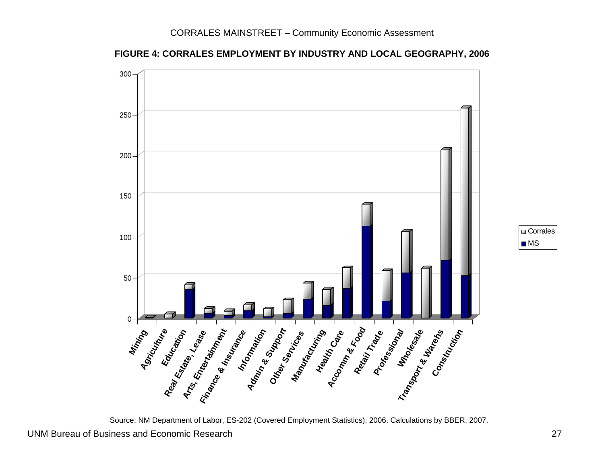



<span id="page-28-0"></span>UNM Bureau of Business and Economic Research 27 Source: NM Department of Labor, ES-202 (Covered Employment Statistics), 2006. Calculations by BBER, 2007.

Corrales MS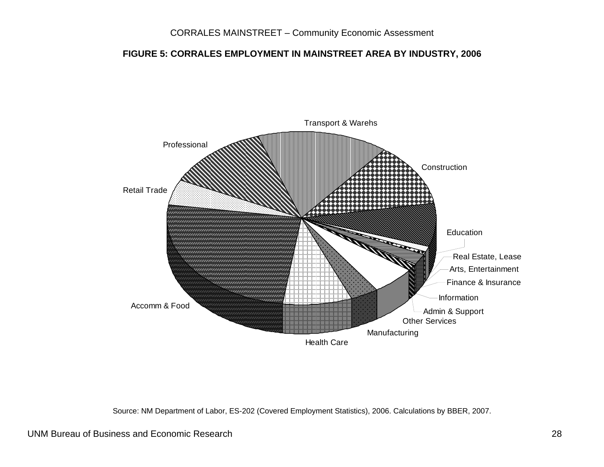## **FIGURE 5: CORRALES EMPLOYMENT IN MAINSTREET AREA BY INDUSTRY, 2006**



Source: NM Department of Labor, ES-202 (Covered Employment Statistics), 2006. Calculations by BBER, 2007.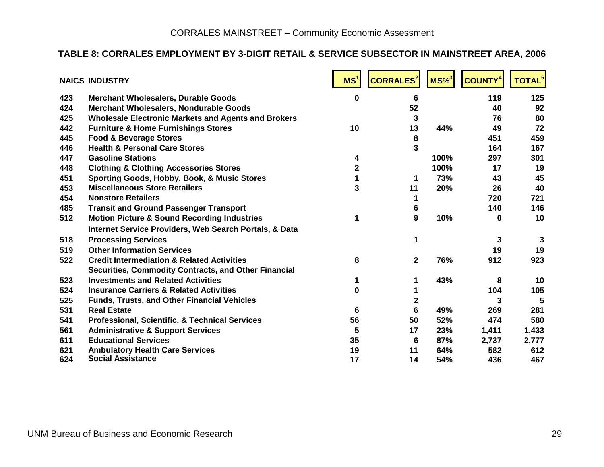## **TABLE 8: CORRALES EMPLOYMENT BY 3-DIGIT RETAIL & SERVICE SUBSECTOR IN MAINSTREET AREA, 2006**

<span id="page-30-0"></span>

|     | <b>NAICS INDUSTRY</b>                                             | MS <sup>1</sup> | <b>CORRALES<sup>2</sup></b> | $MS\%$ <sup>3</sup> | <b>COUNTY</b> <sup>4</sup> | TOTAL <sup>5</sup> |
|-----|-------------------------------------------------------------------|-----------------|-----------------------------|---------------------|----------------------------|--------------------|
| 423 | <b>Merchant Wholesalers, Durable Goods</b>                        | $\bf{0}$        | 6                           |                     | 119                        | 125                |
| 424 | <b>Merchant Wholesalers, Nondurable Goods</b>                     |                 | 52                          |                     | 40                         | 92                 |
| 425 | <b>Wholesale Electronic Markets and Agents and Brokers</b>        |                 | 3                           |                     | 76                         | 80                 |
| 442 | <b>Furniture &amp; Home Furnishings Stores</b>                    | 10              | 13                          | 44%                 | 49                         | 72                 |
| 445 | <b>Food &amp; Beverage Stores</b>                                 |                 | 8                           |                     | 451                        | 459                |
| 446 | <b>Health &amp; Personal Care Stores</b>                          |                 | 3                           |                     | 164                        | 167                |
| 447 | <b>Gasoline Stations</b>                                          | 4               |                             | 100%                | 297                        | 301                |
| 448 | <b>Clothing &amp; Clothing Accessories Stores</b>                 | 2               |                             | 100%                | 17                         | 19                 |
| 451 | Sporting Goods, Hobby, Book, & Music Stores                       |                 | 1                           | 73%                 | 43                         | 45                 |
| 453 | <b>Miscellaneous Store Retailers</b>                              | 3               | 11                          | 20%                 | 26                         | 40                 |
| 454 | <b>Nonstore Retailers</b>                                         |                 | 1                           |                     | 720                        | 721                |
| 485 | <b>Transit and Ground Passenger Transport</b>                     |                 | 6                           |                     | 140                        | 146                |
| 512 | <b>Motion Picture &amp; Sound Recording Industries</b>            | 1               | 9                           | 10%                 | 0                          | 10                 |
|     | <b>Internet Service Providers, Web Search Portals, &amp; Data</b> |                 |                             |                     |                            |                    |
| 518 | <b>Processing Services</b>                                        |                 | 1                           |                     | 3                          | 3                  |
| 519 | <b>Other Information Services</b>                                 |                 |                             |                     | 19                         | 19                 |
| 522 | <b>Credit Intermediation &amp; Related Activities</b>             | 8               | $\mathbf{2}$                | 76%                 | 912                        | 923                |
|     | <b>Securities, Commodity Contracts, and Other Financial</b>       |                 |                             |                     |                            |                    |
| 523 | <b>Investments and Related Activities</b>                         | 1               |                             | 43%                 | 8                          | 10                 |
| 524 | <b>Insurance Carriers &amp; Related Activities</b>                | 0               |                             |                     | 104                        | 105                |
| 525 | <b>Funds, Trusts, and Other Financial Vehicles</b>                |                 | $\mathbf 2$                 |                     | 3                          | 5                  |
| 531 | <b>Real Estate</b>                                                | 6               | 6                           | 49%                 | 269                        | 281                |
| 541 | <b>Professional, Scientific, &amp; Technical Services</b>         | 56              | 50                          | 52%                 | 474                        | 580                |
| 561 | <b>Administrative &amp; Support Services</b>                      | 5               | 17                          | 23%                 | 1,411                      | 1,433              |
| 611 | <b>Educational Services</b>                                       | 35              | 6                           | 87%                 | 2,737                      | 2,777              |
| 621 | <b>Ambulatory Health Care Services</b>                            | 19              | 11                          | 64%                 | 582                        | 612                |
| 624 | <b>Social Assistance</b>                                          | 17              | 14                          | 54%                 | 436                        | 467                |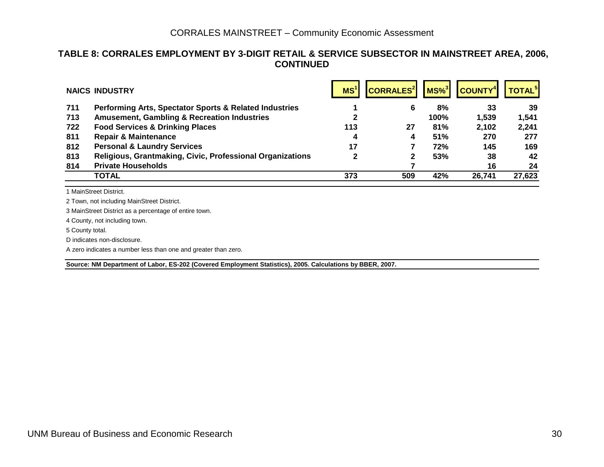#### **TABLE 8: CORRALES EMPLOYMENT BY 3-DIGIT RETAIL & SERVICE SUBSECTOR IN MAINSTREET AREA, 2006, CONTINUED**

|     | <b>NAICS INDUSTRY</b>                                     | MS <sup>1</sup> | <b>CORRALES<sup>2</sup></b> |      | $MS\%$ <sup>3</sup> COUNTY <sup>4</sup> | <b>TOTAL<sup>5</sup></b> |
|-----|-----------------------------------------------------------|-----------------|-----------------------------|------|-----------------------------------------|--------------------------|
| 711 | Performing Arts, Spectator Sports & Related Industries    |                 | 6                           | 8%   | 33                                      | 39                       |
| 713 | <b>Amusement, Gambling &amp; Recreation Industries</b>    |                 |                             | 100% | 1,539                                   | 1,541                    |
| 722 | <b>Food Services &amp; Drinking Places</b>                | 113             | 27                          | 81%  | 2,102                                   | 2,241                    |
| 811 | <b>Repair &amp; Maintenance</b>                           | 4               | 4                           | 51%  | 270                                     | 277                      |
| 812 | <b>Personal &amp; Laundry Services</b>                    | 17              |                             | 72%  | 145                                     | 169                      |
| 813 | Religious, Grantmaking, Civic, Professional Organizations | 2               | 2                           | 53%  | 38                                      | 42                       |
| 814 | <b>Private Households</b>                                 |                 |                             |      | 16                                      | 24                       |
|     | <b>TOTAL</b>                                              | 373             | 509                         | 42%  | 26,741                                  | 27,623                   |

1 MainStreet District.

2 Town, not including MainStreet District.

3 MainStreet District as a percentage of entire town.

4 County, not including town.

5 County total.

D indicates non-disclosure.

A zero indicates a number less than one and greater than zero.

**Source: NM Department of Labor, ES-202 (Covered Employment Statistics), 2005. Calculations by BBER, 2007.**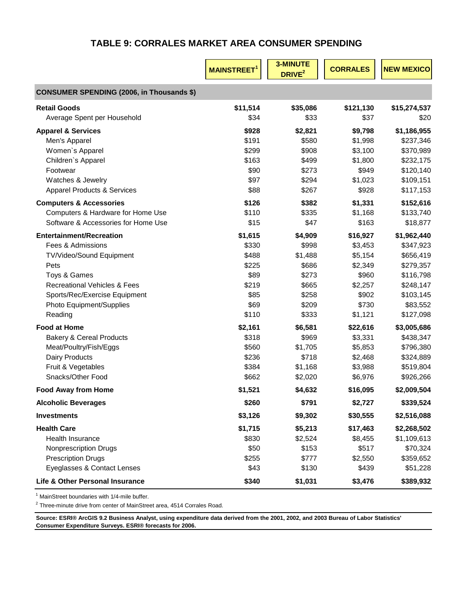# **TABLE 9: CORRALES MARKET AREA CONSUMER SPENDING**

<span id="page-32-0"></span>

|                                                  | <b>MAINSTREET<sup>1</sup></b> | <b>3-MINUTE</b><br>DRIVE <sup>2</sup> | <b>CORRALES</b> | <b>NEW MEXICO</b> |
|--------------------------------------------------|-------------------------------|---------------------------------------|-----------------|-------------------|
| <b>CONSUMER SPENDING (2006, in Thousands \$)</b> |                               |                                       |                 |                   |
| <b>Retail Goods</b>                              | \$11,514                      | \$35,086                              | \$121,130       | \$15,274,537      |
| Average Spent per Household                      | \$34                          | \$33                                  | \$37            | \$20              |
| <b>Apparel &amp; Services</b>                    | \$928                         | \$2,821                               | \$9,798         | \$1,186,955       |
| Men's Apparel                                    | \$191                         | \$580                                 | \$1,998         | \$237,346         |
| Women's Apparel                                  | \$299                         | \$908                                 | \$3,100         | \$370,989         |
| Children's Apparel                               | \$163                         | \$499                                 | \$1,800         | \$232,175         |
| Footwear                                         | \$90                          | \$273                                 | \$949           | \$120,140         |
| Watches & Jewelry                                | \$97                          | \$294                                 | \$1,023         | \$109,151         |
| <b>Apparel Products &amp; Services</b>           | \$88                          | \$267                                 | \$928           | \$117,153         |
| <b>Computers &amp; Accessories</b>               | \$126                         | \$382                                 | \$1,331         | \$152,616         |
| Computers & Hardware for Home Use                | \$110                         | \$335                                 | \$1,168         | \$133,740         |
| Software & Accessories for Home Use              | \$15                          | \$47                                  | \$163           | \$18,877          |
| <b>Entertainment/Recreation</b>                  | \$1,615                       | \$4,909                               | \$16,927        | \$1,962,440       |
| Fees & Admissions                                | \$330                         | \$998                                 | \$3,453         | \$347,923         |
| TV/Video/Sound Equipment                         | \$488                         | \$1,488                               | \$5,154         | \$656,419         |
| Pets                                             | \$225                         | \$686                                 | \$2,349         | \$279,357         |
| Toys & Games                                     | \$89                          | \$273                                 | \$960           | \$116,798         |
| <b>Recreational Vehicles &amp; Fees</b>          | \$219                         | \$665                                 | \$2,257         | \$248,147         |
| Sports/Rec/Exercise Equipment                    | \$85                          | \$258                                 | \$902           | \$103,145         |
| Photo Equipment/Supplies                         | \$69                          | \$209                                 | \$730           | \$83,552          |
| Reading                                          | \$110                         | \$333                                 | \$1,121         | \$127,098         |
| <b>Food at Home</b>                              | \$2,161                       | \$6,581                               | \$22,616        | \$3,005,686       |
| <b>Bakery &amp; Cereal Products</b>              | \$318                         | \$969                                 | \$3,331         | \$438,347         |
| Meat/Poultry/Fish/Eggs                           | \$560                         | \$1,705                               | \$5,853         | \$796,380         |
| <b>Dairy Products</b>                            | \$236                         | \$718                                 | \$2,468         | \$324,889         |
| Fruit & Vegetables                               | \$384                         | \$1,168                               | \$3,988         | \$519,804         |
| Snacks/Other Food                                | \$662                         | \$2,020                               | \$6,976         | \$926,266         |
| <b>Food Away from Home</b>                       | \$1,521                       | \$4,632                               | \$16,095        | \$2,009,504       |
| <b>Alcoholic Beverages</b>                       | \$260                         | \$791                                 | \$2,727         | \$339,524         |
| <b>Investments</b>                               | \$3,126                       | \$9,302                               | \$30,555        | \$2,516,088       |
| <b>Health Care</b>                               | \$1,715                       | \$5,213                               | \$17,463        | \$2,268,502       |
| Health Insurance                                 | \$830                         | \$2,524                               | \$8,455         | \$1,109,613       |
| <b>Nonprescription Drugs</b>                     | \$50                          | \$153                                 | \$517           | \$70,324          |
| <b>Prescription Drugs</b>                        | \$255                         | \$777                                 | \$2,550         | \$359,652         |
| Eyeglasses & Contact Lenses                      | \$43                          | \$130                                 | \$439           | \$51,228          |
| Life & Other Personal Insurance                  | \$340                         | \$1,031                               | \$3,476         | \$389,932         |

<sup>1</sup> MainStreet boundaries with 1/4-mile buffer.

 $2$  Three-minute drive from center of MainStreet area, 4514 Corrales Road.

**Source: ESRI® ArcGIS 9.2 Business Analyst, using expenditure data derived from the 2001, 2002, and 2003 Bureau of Labor Statistics' Consumer Expenditure Surveys. ESRI® forecasts for 2006.**